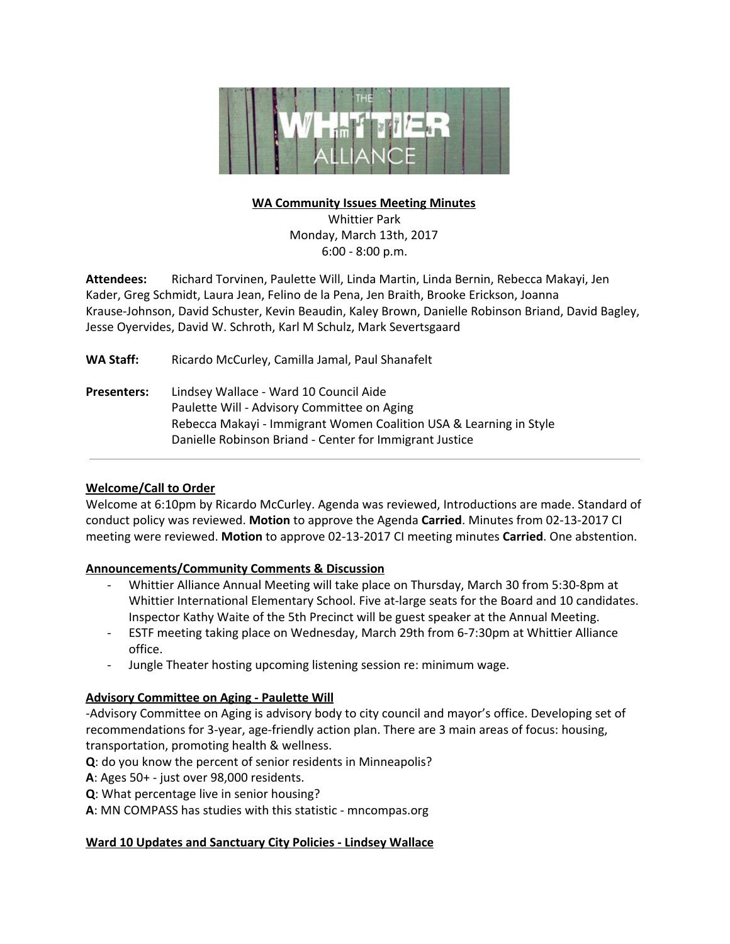

## **WA Community Issues Meeting Minutes**

Whittier Park Monday, March 13th, 2017 6:00 - 8:00 p.m.

**Attendees:** Richard Torvinen, Paulette Will, Linda Martin, Linda Bernin, Rebecca Makayi, Jen Kader, Greg Schmidt, Laura Jean, Felino de la Pena, Jen Braith, Brooke Erickson, Joanna Krause-Johnson, David Schuster, Kevin Beaudin, Kaley Brown, Danielle Robinson Briand, David Bagley, Jesse Oyervides, David W. Schroth, Karl M Schulz, Mark Severtsgaard

**WA Staff:** Ricardo McCurley, Camilla Jamal, Paul Shanafelt

**Presenters:** Lindsey Wallace - Ward 10 Council Aide Paulette Will - Advisory Committee on Aging Rebecca Makayi - Immigrant Women Coalition USA & Learning in Style Danielle Robinson Briand - Center for Immigrant Justice

# **Welcome/Call to Order**

Welcome at 6:10pm by Ricardo McCurley. Agenda was reviewed, Introductions are made. Standard of conduct policy was reviewed. **Motion** to approve the Agenda **Carried**. Minutes from 02-13-2017 CI meeting were reviewed. **Motion** to approve 02-13-2017 CI meeting minutes **Carried**. One abstention.

### **Announcements/Community Comments & Discussion**

- Whittier Alliance Annual Meeting will take place on Thursday, March 30 from 5:30-8pm at Whittier International Elementary School. Five at-large seats for the Board and 10 candidates. Inspector Kathy Waite of the 5th Precinct will be guest speaker at the Annual Meeting.
- ESTF meeting taking place on Wednesday, March 29th from 6-7:30pm at Whittier Alliance office.
- Jungle Theater hosting upcoming listening session re: minimum wage.

# **Advisory Committee on Aging - Paulette Will**

-Advisory Committee on Aging is advisory body to city council and mayor's office. Developing set of recommendations for 3-year, age-friendly action plan. There are 3 main areas of focus: housing, transportation, promoting health & wellness.

**Q**: do you know the percent of senior residents in Minneapolis?

**A**: Ages 50+ - just over 98,000 residents.

**Q**: What percentage live in senior housing?

**A**: MN COMPASS has studies with this statistic - mncompas.org

# **Ward 10 Updates and Sanctuary City Policies - Lindsey Wallace**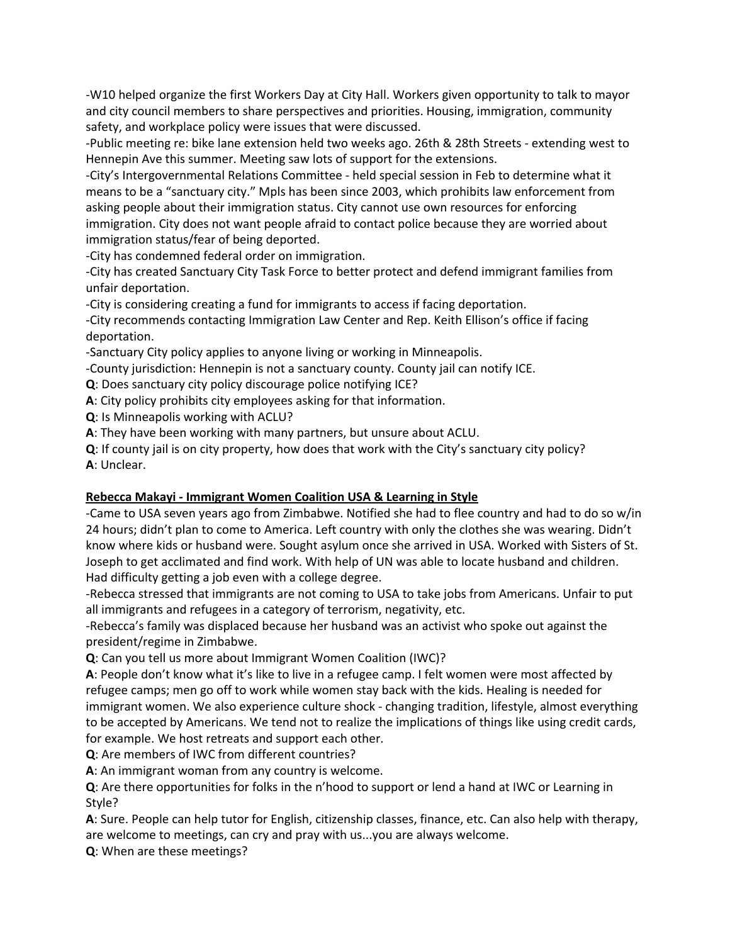-W10 helped organize the first Workers Day at City Hall. Workers given opportunity to talk to mayor and city council members to share perspectives and priorities. Housing, immigration, community safety, and workplace policy were issues that were discussed.

-Public meeting re: bike lane extension held two weeks ago. 26th & 28th Streets - extending west to Hennepin Ave this summer. Meeting saw lots of support for the extensions.

-City's Intergovernmental Relations Committee - held special session in Feb to determine what it means to be a "sanctuary city." Mpls has been since 2003, which prohibits law enforcement from asking people about their immigration status. City cannot use own resources for enforcing immigration. City does not want people afraid to contact police because they are worried about immigration status/fear of being deported.

-City has condemned federal order on immigration.

-City has created Sanctuary City Task Force to better protect and defend immigrant families from unfair deportation.

-City is considering creating a fund for immigrants to access if facing deportation.

-City recommends contacting Immigration Law Center and Rep. Keith Ellison's office if facing deportation.

-Sanctuary City policy applies to anyone living or working in Minneapolis.

-County jurisdiction: Hennepin is not a sanctuary county. County jail can notify ICE.

**Q**: Does sanctuary city policy discourage police notifying ICE?

**A**: City policy prohibits city employees asking for that information.

**Q**: Is Minneapolis working with ACLU?

**A**: They have been working with many partners, but unsure about ACLU.

**Q**: If county jail is on city property, how does that work with the City's sanctuary city policy? **A**: Unclear.

### **Rebecca Makayi - Immigrant Women Coalition USA & Learning in Style**

-Came to USA seven years ago from Zimbabwe. Notified she had to flee country and had to do so w/in 24 hours; didn't plan to come to America. Left country with only the clothes she was wearing. Didn't know where kids or husband were. Sought asylum once she arrived in USA. Worked with Sisters of St. Joseph to get acclimated and find work. With help of UN was able to locate husband and children. Had difficulty getting a job even with a college degree.

-Rebecca stressed that immigrants are not coming to USA to take jobs from Americans. Unfair to put all immigrants and refugees in a category of terrorism, negativity, etc.

-Rebecca's family was displaced because her husband was an activist who spoke out against the president/regime in Zimbabwe.

**Q**: Can you tell us more about Immigrant Women Coalition (IWC)?

**A**: People don't know what it's like to live in a refugee camp. I felt women were most affected by refugee camps; men go off to work while women stay back with the kids. Healing is needed for immigrant women. We also experience culture shock - changing tradition, lifestyle, almost everything to be accepted by Americans. We tend not to realize the implications of things like using credit cards, for example. We host retreats and support each other.

**Q**: Are members of IWC from different countries?

**A**: An immigrant woman from any country is welcome.

**Q**: Are there opportunities for folks in the n'hood to support or lend a hand at IWC or Learning in Style?

**A**: Sure. People can help tutor for English, citizenship classes, finance, etc. Can also help with therapy, are welcome to meetings, can cry and pray with us...you are always welcome.

**Q**: When are these meetings?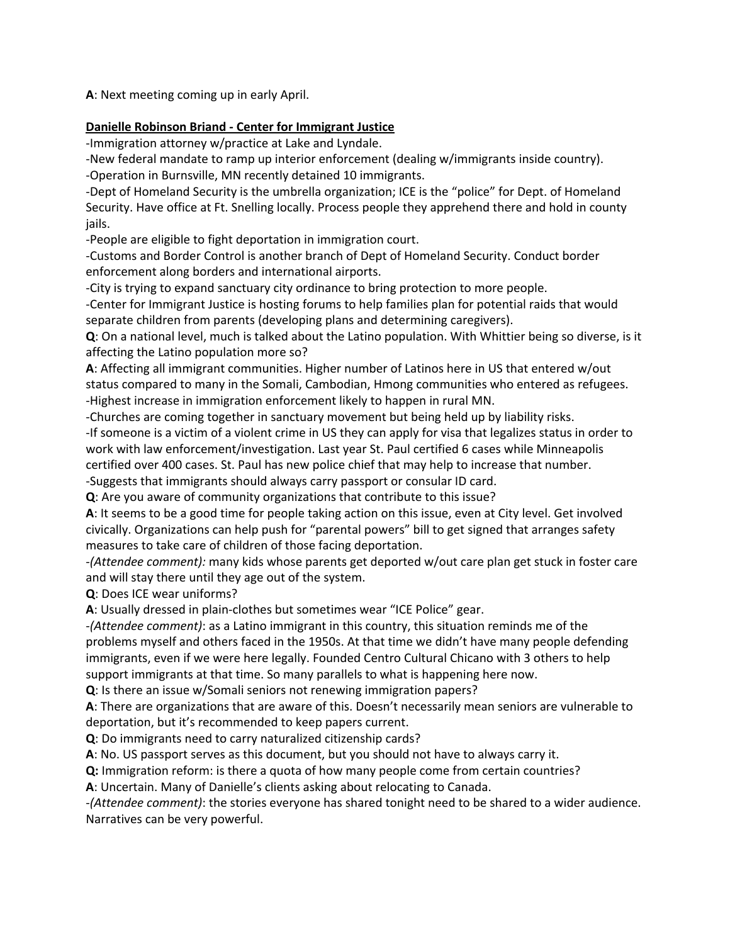**A**: Next meeting coming up in early April.

## **Danielle Robinson Briand - Center for Immigrant Justice**

-Immigration attorney w/practice at Lake and Lyndale.

-New federal mandate to ramp up interior enforcement (dealing w/immigrants inside country). -Operation in Burnsville, MN recently detained 10 immigrants.

-Dept of Homeland Security is the umbrella organization; ICE is the "police" for Dept. of Homeland Security. Have office at Ft. Snelling locally. Process people they apprehend there and hold in county jails.

-People are eligible to fight deportation in immigration court.

-Customs and Border Control is another branch of Dept of Homeland Security. Conduct border enforcement along borders and international airports.

-City is trying to expand sanctuary city ordinance to bring protection to more people.

-Center for Immigrant Justice is hosting forums to help families plan for potential raids that would separate children from parents (developing plans and determining caregivers).

**Q**: On a national level, much is talked about the Latino population. With Whittier being so diverse, is it affecting the Latino population more so?

**A**: Affecting all immigrant communities. Higher number of Latinos here in US that entered w/out status compared to many in the Somali, Cambodian, Hmong communities who entered as refugees. -Highest increase in immigration enforcement likely to happen in rural MN.

-Churches are coming together in sanctuary movement but being held up by liability risks.

-If someone is a victim of a violent crime in US they can apply for visa that legalizes status in order to work with law enforcement/investigation. Last year St. Paul certified 6 cases while Minneapolis certified over 400 cases. St. Paul has new police chief that may help to increase that number.

-Suggests that immigrants should always carry passport or consular ID card.

**Q**: Are you aware of community organizations that contribute to this issue?

**A**: It seems to be a good time for people taking action on this issue, even at City level. Get involved civically. Organizations can help push for "parental powers" bill to get signed that arranges safety measures to take care of children of those facing deportation.

-*(Attendee comment):* many kids whose parents get deported w/out care plan get stuck in foster care and will stay there until they age out of the system.

**Q**: Does ICE wear uniforms?

**A**: Usually dressed in plain-clothes but sometimes wear "ICE Police" gear.

-*(Attendee comment)*: as a Latino immigrant in this country, this situation reminds me of the problems myself and others faced in the 1950s. At that time we didn't have many people defending immigrants, even if we were here legally. Founded Centro Cultural Chicano with 3 others to help support immigrants at that time. So many parallels to what is happening here now.

**Q**: Is there an issue w/Somali seniors not renewing immigration papers?

**A**: There are organizations that are aware of this. Doesn't necessarily mean seniors are vulnerable to deportation, but it's recommended to keep papers current.

**Q**: Do immigrants need to carry naturalized citizenship cards?

**A**: No. US passport serves as this document, but you should not have to always carry it.

**Q:** Immigration reform: is there a quota of how many people come from certain countries?

**A**: Uncertain. Many of Danielle's clients asking about relocating to Canada.

-*(Attendee comment)*: the stories everyone has shared tonight need to be shared to a wider audience. Narratives can be very powerful.